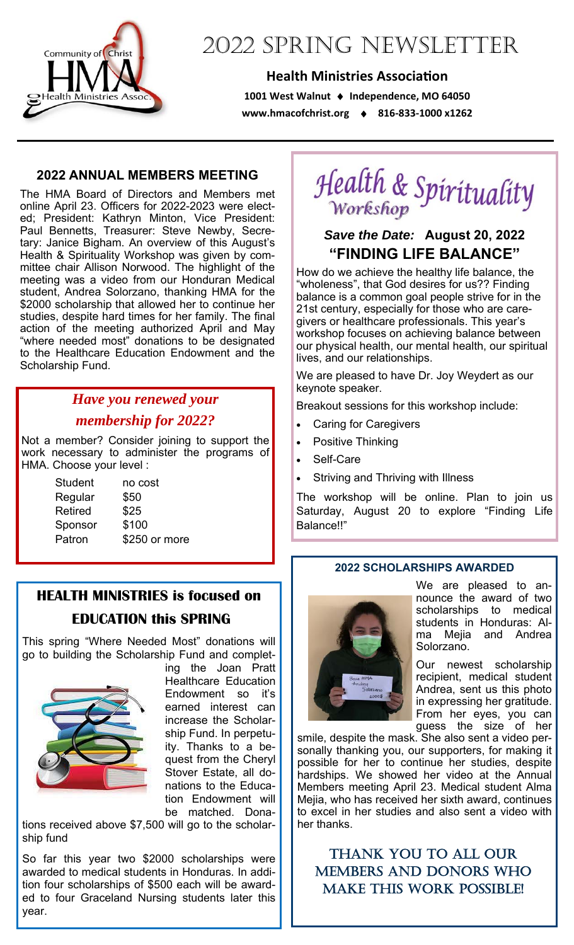

# 2022 SPRING NEWSLETTER

#### **Health Ministries Association**

**1001 West Walnut Independence, MO 64050 www.hmacofchrist.org 816‐833‐1000 x1262** 

#### **2022 ANNUAL MEMBERS MEETING**

The HMA Board of Directors and Members met online April 23. Officers for 2022-2023 were elected; President: Kathryn Minton, Vice President: Paul Bennetts, Treasurer: Steve Newby, Secretary: Janice Bigham. An overview of this August's Health & Spirituality Workshop was given by committee chair Allison Norwood. The highlight of the meeting was a video from our Honduran Medical student, Andrea Solorzano, thanking HMA for the \$2000 scholarship that allowed her to continue her studies, despite hard times for her family. The final action of the meeting authorized April and May "where needed most" donations to be designated to the Healthcare Education Endowment and the Scholarship Fund.

### *Have you renewed your membership for 2022?*

Not a member? Consider joining to support the work necessary to administer the programs of HMA. Choose your level :

| <b>Student</b> | no cost       |
|----------------|---------------|
| Regular        | \$50          |
| Retired        | \$25          |
| Sponsor        | \$100         |
| Patron         | \$250 or more |

### **HEALTH MINISTRIES is focused on EDUCATION this SPRING**

This spring "Where Needed Most" donations will go to building the Scholarship Fund and complet-



ing the Joan Pratt Healthcare Education Endowment so it's earned interest can increase the Scholarship Fund. In perpetuity. Thanks to a bequest from the Cheryl Stover Estate, all donations to the Education Endowment will be matched. Dona-

tions received above \$7,500 will go to the scholarship fund

So far this year two \$2000 scholarships were awarded to medical students in Honduras. In addition four scholarships of \$500 each will be awarded to four Graceland Nursing students later this year.

Health & Spirituality

### *Save the Date:* **August 20, 2022 "FINDING LIFE BALANCE"**

How do we achieve the healthy life balance, the "wholeness", that God desires for us?? Finding balance is a common goal people strive for in the 21st century, especially for those who are caregivers or healthcare professionals. This year's workshop focuses on achieving balance between our physical health, our mental health, our spiritual lives, and our relationships.

We are pleased to have Dr. Joy Weydert as our keynote speaker.

Breakout sessions for this workshop include:

- Caring for Caregivers
- Positive Thinking
- Self-Care
- Striving and Thriving with Illness

The workshop will be online. Plan to join us Saturday, August 20 to explore "Finding Life Balance!!"

#### **2022 SCHOLARSHIPS AWARDED**



We are pleased to announce the award of two scholarships to medical students in Honduras: Alma Mejia and Andrea Solorzano.

Our newest scholarship recipient, medical student Andrea, sent us this photo in expressing her gratitude. From her eyes, you can guess the size of her

smile, despite the mask. She also sent a video personally thanking you, our supporters, for making it possible for her to continue her studies, despite hardships. We showed her video at the Annual Members meeting April 23. Medical student Alma Mejia, who has received her sixth award, continues to excel in her studies and also sent a video with her thanks.

THANK YOU TO ALL OUR MEMBERS AND DONORS WHO MAKE THIS WORK POSSIBLE!